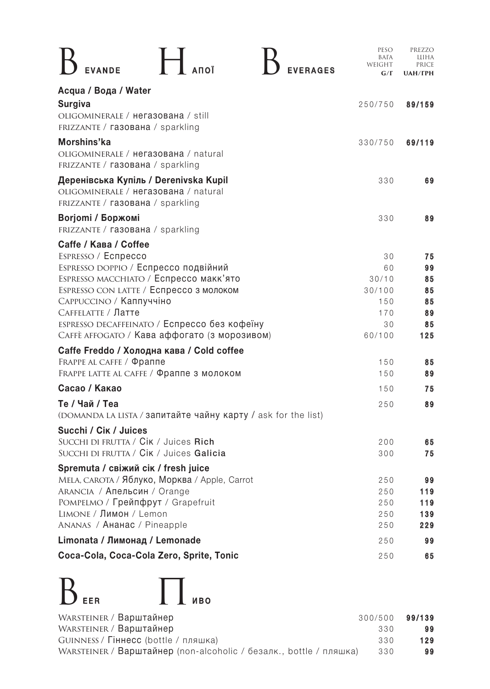|                                                                                                                   | PESO<br>BATA<br>WEIGHT<br>$G/\Gamma$ | PREZZO<br>шіна<br>PRICE<br><b>UAH/ГРН</b> |
|-------------------------------------------------------------------------------------------------------------------|--------------------------------------|-------------------------------------------|
| Acqua / Вода / Water                                                                                              |                                      |                                           |
| <b>Surgiva</b>                                                                                                    | 250/750                              | 89/159                                    |
| OLIGOMINERALE / Hera30Baha / still<br>FRIZZANTE / Газована / sparkling                                            |                                      |                                           |
| Morshins'ka<br>OLIGOMINERALE / Herasobaha / natural<br>FRIZZANTE / газована / sparkling                           | 330/750                              | 69/119                                    |
| Деренівська Купіль / Derenivska Kupil<br>OLIGOMINERALE / HerasoBaha / natural<br>FRIZZANTE / ГАЗОВАНА / sparkling | 330                                  | 69                                        |
| Borjomi / Боржомі<br>FRIZZANTE / ГАЗОВАНА / sparkling                                                             | 330                                  | 89                                        |
| Caffe / Кава / Coffee                                                                                             |                                      |                                           |
| ESPRESSO / Ecnpecco                                                                                               | 30                                   | 75                                        |
| ESPRESSO DOPPIO / Еспрессо подвійний                                                                              | 60                                   | 99                                        |
| ESPRESSO MACCHIATO / Еспрессо макк'ято                                                                            | 30/10                                | 85                                        |
| ESPRESSO CON LATTE / Еспрессо з молоком                                                                           | 30/100                               | 85                                        |
| САРРИССІ Ю / Каппуччіно                                                                                           | 150                                  | 85                                        |
| САFFELATTE / Латте                                                                                                | 170                                  | 89                                        |
| ESPRESSO DECAFFEINATO / Еспрессо без кофеїну<br>САҒҒЕ АҒҒОСАТО / Кава аффогато (з морозивом)                      | 30<br>60/100                         | 85<br>125                                 |
| Caffe Freddo / Холодна кава / Cold coffee                                                                         |                                      |                                           |
| FRAPPE AL CAFFE / Фраппе                                                                                          | 150                                  | 85                                        |
| <b>FRAPPE LATTE AL CAFFE / Фраппе з молоком</b>                                                                   | 150                                  | 89                                        |
| <b>Сасао / Какао</b>                                                                                              | 150                                  | 75                                        |
| Те / Чай / Теа                                                                                                    | 250                                  | 89                                        |
| (DOMANDA LA LISTA / Запитайте чайну карту / ask for the list)                                                     |                                      |                                           |
| Succhi / Cik / Juices                                                                                             |                                      |                                           |
| SUCCHI DI FRUTTA / Cik / Juices Rich                                                                              | 200                                  | 65                                        |
| SUCCHI DI FRUTTA / Cik / Juices Galicia                                                                           | 300                                  | 75                                        |
| Spremuta / свіжий сік / fresh juice                                                                               |                                      |                                           |
| MELA, САRОТА / Яблуко, Морква / Apple, Carrot                                                                     | 250                                  | 99                                        |
| ARANCIA / Апельсин / Orange                                                                                       | 250                                  | 119                                       |
| РОМРЕLМО / Грейпфрут / Grapefruit                                                                                 | 250                                  | 119                                       |
| LIMONE / Лимон / Lemon                                                                                            | 250                                  | 139                                       |
| ANANAS / AHahac / Pineapple                                                                                       | 250                                  | 229                                       |
| Limonata / Лимонад / Lemonade                                                                                     | 250                                  | 99                                        |
| Coca-Cola, Coca-Cola Zero, Sprite, Tonic                                                                          | 250                                  | 65                                        |



| WARSTEINER / Варштайнер<br>300/500                                        | 99/139 |
|---------------------------------------------------------------------------|--------|
| WARSTEINER / Варштайнер<br>330                                            | 99     |
| GUINNESS / Гіннесс (bottle / пляшка)<br>330                               | 129    |
| WARSTEINER / Варштайнер (non-alcoholic / безалк., bottle / пляшка)<br>330 | 99     |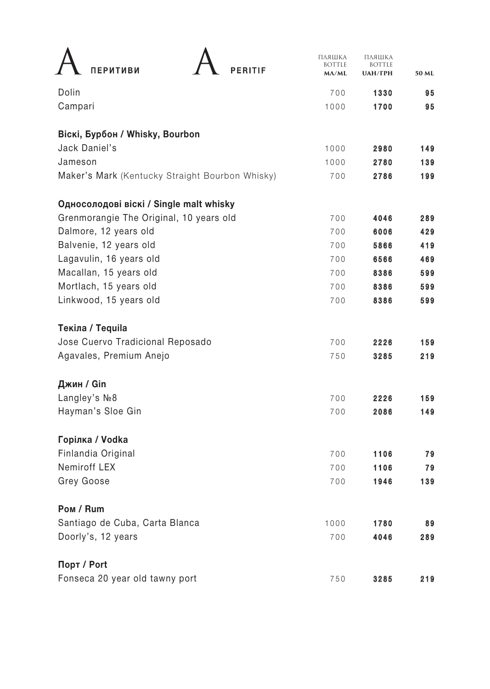| ПЕРИТИВИ<br>PERITIF                             | ПЛЯШКА<br><b>BOTTLE</b><br>$M\Lambda/ML$ | ПЛЯШКА<br><b>BOTTLE</b><br><b>UAH/ГРН</b> | 50 ML |
|-------------------------------------------------|------------------------------------------|-------------------------------------------|-------|
| Dolin                                           | 700                                      | 1330                                      | 95    |
| Campari                                         | 1000                                     | 1700                                      | 95    |
| <b>Віскі, Бурбон / Whisky, Bourbon</b>          |                                          |                                           |       |
| Jack Daniel's                                   | 1000                                     | 2980                                      | 149   |
| Jameson                                         | 1000                                     | 2780                                      | 139   |
| Maker's Mark (Kentucky Straight Bourbon Whisky) | 700                                      | 2786                                      | 199   |
| Односолодові віскі / Single malt whisky         |                                          |                                           |       |
| Grenmorangie The Original, 10 years old         | 700                                      | 4046                                      | 289   |
| Dalmore, 12 years old                           | 700                                      | 6006                                      | 429   |
| Balvenie, 12 years old                          | 700                                      | 5866                                      | 419   |
| Lagavulin, 16 years old                         | 700                                      | 6566                                      | 469   |
| Macallan, 15 years old                          | 700                                      | 8386                                      | 599   |
| Mortlach, 15 years old                          | 700                                      | 8386                                      | 599   |
| Linkwood, 15 years old                          | 700                                      | 8386                                      | 599   |
| Текіла / Tequila                                |                                          |                                           |       |
| Jose Cuervo Tradicional Reposado                | 700                                      | 2226                                      | 159   |
| Agavales, Premium Anejo                         | 750                                      | 3285                                      | 219   |
| Джин / Gin                                      |                                          |                                           |       |
| Langley's $N28$                                 | 700                                      | 2226                                      | 159   |
| Hayman's Sloe Gin                               | 700                                      | 2086                                      | 149   |
| Горілка / Vodka                                 |                                          |                                           |       |
| Finlandia Original                              | 700                                      | 1106                                      | 79    |
| Nemiroff LEX                                    | 700                                      | 1106                                      | 79    |
| Grey Goose                                      | 700                                      | 1946                                      | 139   |
| <b>Ром / Rum</b>                                |                                          |                                           |       |
| Santiago de Cuba, Carta Blanca                  | 1000                                     | 1780                                      | 89    |
| Doorly's, 12 years                              | 700                                      | 4046                                      | 289   |
| Порт / Port                                     |                                          |                                           |       |
| Fonseca 20 year old tawny port                  | 750                                      | 3285                                      | 219   |